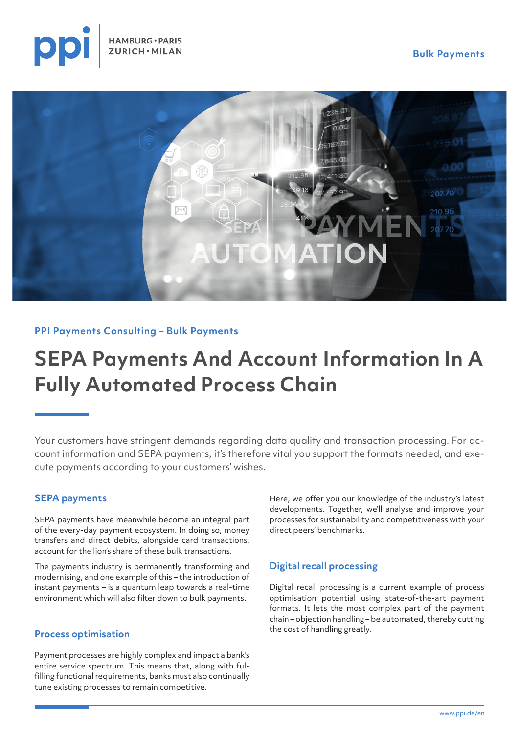



# **PPI Payments Consulting – Bulk Payments**

# **SEPA Payments And Account Information In A Fully Automated Process Chain**

Your customers have stringent demands regarding data quality and transaction processing. For account information and SEPA payments, it's therefore vital you support the formats needed, and execute payments according to your customers' wishes.

## **SEPA payments**

SEPA payments have meanwhile become an integral part of the every-day payment ecosystem. In doing so, money transfers and direct debits, alongside card transactions, account for the lion's share of these bulk transactions.

The payments industry is permanently transforming and modernising, and one example of this – the introduction of instant payments – is a quantum leap towards a real-time environment which will also filter down to bulk payments.

### **Process optimisation**

Payment processes are highly complex and impact a bank's entire service spectrum. This means that, along with fulfilling functional requirements, banks must also continually tune existing processes to remain competitive.

Here, we offer you our knowledge of the industry's latest developments. Together, we'll analyse and improve your processes for sustainability and competitiveness with your direct peers' benchmarks.

## **Digital recall processing**

Digital recall processing is a current example of process optimisation potential using state-of-the-art payment formats. It lets the most complex part of the payment chain – objection handling – be automated, thereby cutting the cost of handling greatly.